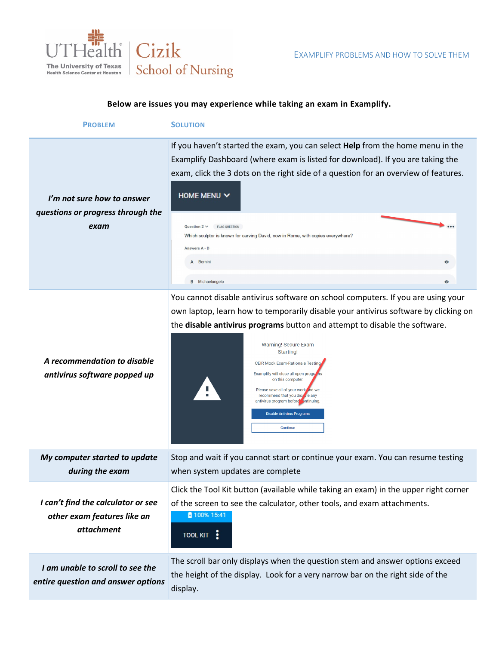

## **Below are issues you may experience while taking an exam in Examplify.**

| <b>PROBLEM</b>                                                          | <b>SOLUTION</b>                                                                                                                                                                                                                                                                                                                                                                                                                                                     |                        |
|-------------------------------------------------------------------------|---------------------------------------------------------------------------------------------------------------------------------------------------------------------------------------------------------------------------------------------------------------------------------------------------------------------------------------------------------------------------------------------------------------------------------------------------------------------|------------------------|
| I'm not sure how to answer<br>questions or progress through the<br>exam | If you haven't started the exam, you can select Help from the home menu in the<br>Examplify Dashboard (where exam is listed for download). If you are taking the<br>exam, click the 3 dots on the right side of a question for an overview of features.<br>HOME MENU $\vee$<br>Question $2 \vee$<br><b>FLAG QUESTION</b><br>Which sculptor is known for carving David, now in Rome, with copies everywhere?<br>Answers A - D<br>A Bernini<br><b>B</b> Michaelangelo | $\bullet$<br>$\bullet$ |
|                                                                         | You cannot disable antivirus software on school computers. If you are using your<br>own laptop, learn how to temporarily disable your antivirus software by clicking on                                                                                                                                                                                                                                                                                             |                        |

| CEIR Mock Exam-Rationale Testing<br>Examplify will close all open programs<br>on this computer.<br>Please save all of your work ind we<br>recommend that you discole any<br>antivirus program before ontinuing.<br><b>Disable Antivirus Programs</b><br><b>Continue</b> |
|-------------------------------------------------------------------------------------------------------------------------------------------------------------------------------------------------------------------------------------------------------------------------|
| Stop and wait if you cannot start or continue your exam. You can resume testing<br>when system updates are complete                                                                                                                                                     |
|                                                                                                                                                                                                                                                                         |

*during the exam* Click the Tool Kit button (available while taking an exam) in the upper right corner *I can't find the calculator or see*  of the screen to see the calculator, other tools, and exam attachments. 100% 15:41 *other exam features like an attachment* TOOL KIT :

the **disable antivirus programs** button and attempt to disable the software.

*I am unable to scroll to see the entire question and answer options* The scroll bar only displays when the question stem and answer options exceed the height of the display. Look for a very narrow bar on the right side of the display.